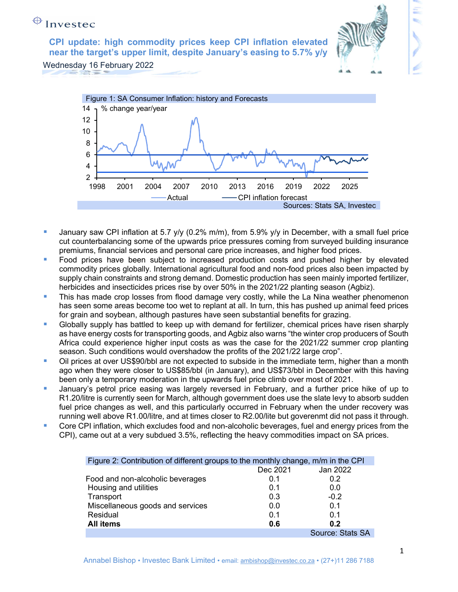CPI update: high commodity prices keep CPI inflation elevated near the target's upper limit, despite January's easing to 5.7% y/y



Wednesday 16 February 2022



- January saw CPI inflation at 5.7 y/y (0.2% m/m), from 5.9% y/y in December, with a small fuel price cut counterbalancing some of the upwards price pressures coming from surveyed building insurance premiums, financial services and personal care price increases, and higher food prices.
- Food prices have been subject to increased production costs and pushed higher by elevated commodity prices globally. International agricultural food and non-food prices also been impacted by supply chain constraints and strong demand. Domestic production has seen mainly imported fertilizer, herbicides and insecticides prices rise by over 50% in the 2021/22 planting season (Agbiz).
- This has made crop losses from flood damage very costly, while the La Nina weather phenomenon has seen some areas become too wet to replant at all. In turn, this has pushed up animal feed prices for grain and soybean, although pastures have seen substantial benefits for grazing.
- Globally supply has battled to keep up with demand for fertilizer, chemical prices have risen sharply as have energy costs for transporting goods, and Agbiz also warns "the winter crop producers of South Africa could experience higher input costs as was the case for the 2021/22 summer crop planting season. Such conditions would overshadow the profits of the 2021/22 large crop".
- **Dil prices at over US\$90/bbl are not expected to subside in the immediate term, higher than a month** ago when they were closer to US\$85/bbl (in January), and US\$73/bbl in December with this having been only a temporary moderation in the upwards fuel price climb over most of 2021.
- **January's petrol price easing was largely reversed in February, and a further price hike of up to** R1.20/litre is currently seen for March, although government does use the slate levy to absorb sudden fuel price changes as well, and this particularly occurred in February when the under recovery was running well above R1.00/litre, and at times closer to R2.00/lite but goverenmt did not pass it through.
- Core CPI inflation, which excludes food and non-alcoholic beverages, fuel and energy prices from the CPI), came out at a very subdued 3.5%, reflecting the heavy commodities impact on SA prices.

| Figure 2: Contribution of different groups to the monthly change, m/m in the CPI |          |                  |
|----------------------------------------------------------------------------------|----------|------------------|
|                                                                                  | Dec 2021 | Jan 2022         |
| Food and non-alcoholic beverages                                                 | 0.1      | 0.2              |
| Housing and utilities                                                            | 0.1      | 0.0              |
| Transport                                                                        | 0.3      | $-0.2$           |
| Miscellaneous goods and services                                                 | 0.0      | 0.1              |
| Residual                                                                         | 0.1      | 0.1              |
| <b>All items</b>                                                                 | 0.6      | 0.2              |
|                                                                                  |          | Source: Stats SA |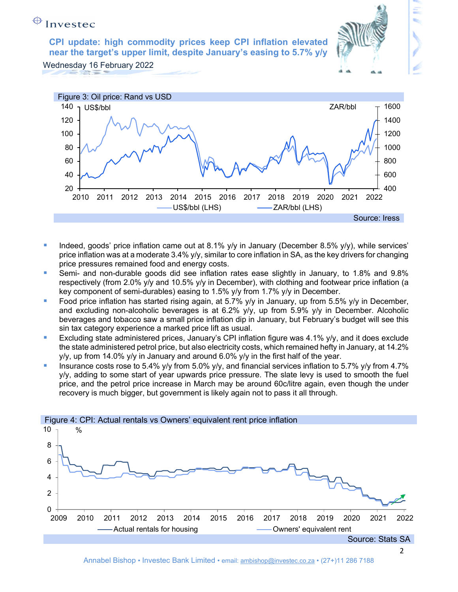CPI update: high commodity prices keep CPI inflation elevated near the target's upper limit, despite January's easing to 5.7% y/y

Wednesday 16 February 2022



- Indeed, goods' price inflation came out at 8.1%  $y/y$  in January (December 8.5%  $y/y$ ), while services' price inflation was at a moderate 3.4% y/y, similar to core inflation in SA, as the key drivers for changing price pressures remained food and energy costs.
- Semi- and non-durable goods did see inflation rates ease slightly in January, to 1.8% and 9.8% respectively (from 2.0% y/y and 10.5% y/y in December), with clothing and footwear price inflation (a key component of semi-durables) easing to 1.5% y/y from 1.7% y/y in December.
- Food price inflation has started rising again, at  $5.7\%$  y/y in January, up from  $5.5\%$  y/y in December, and excluding non-alcoholic beverages is at 6.2% y/y, up from 5.9% y/y in December. Alcoholic beverages and tobacco saw a small price inflation dip in January, but February's budget will see this sin tax category experience a marked price lift as usual.
- Excluding state administered prices, January's CPI inflation figure was 4.1% y/y, and it does exclude the state administered petrol price, but also electricity costs, which remained hefty in January, at 14.2%  $y/y$ , up from 14.0%  $y/y$  in January and around 6.0%  $y/y$  in the first half of the year.
- Insurance costs rose to 5.4% y/y from 5.0% y/y, and financial services inflation to 5.7% y/y from 4.7% y/y, adding to some start of year upwards price pressure. The slate levy is used to smooth the fuel price, and the petrol price increase in March may be around 60c/litre again, even though the under recovery is much bigger, but government is likely again not to pass it all through.

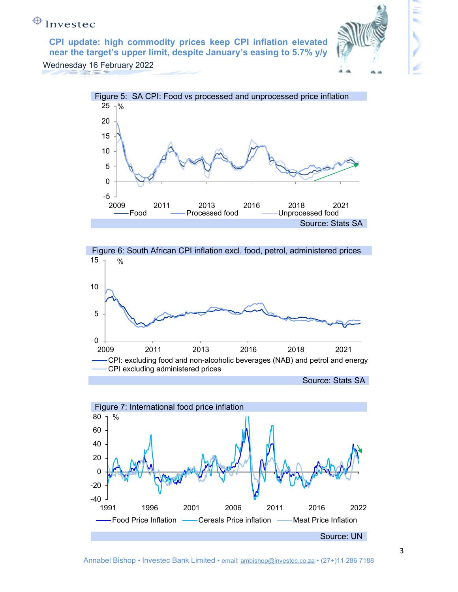CPI update: high commodity prices keep CPI inflation elevated near the target's upper limit, despite January's easing to 5.7% y/y



Wednesday 16 February 2022





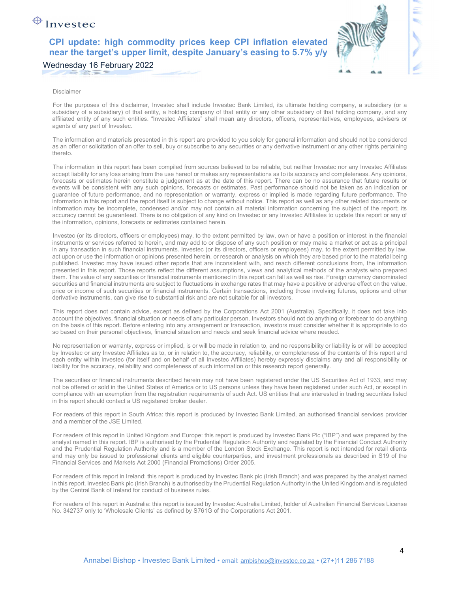### CPI update: high commodity prices keep CPI inflation elevated near the target's upper limit, despite January's easing to 5.7% y/y

### Wednesday 16 February 2022



#### Disclaimer

For the purposes of this disclaimer, Investec shall include Investec Bank Limited, its ultimate holding company, a subsidiary (or a subsidiary of a subsidiary) of that entity, a holding company of that entity or any other subsidiary of that holding company, and any affiliated entity of any such entities. "Investec Affiliates" shall mean any directors, officers, representatives, employees, advisers or agents of any part of Investec.

The information and materials presented in this report are provided to you solely for general information and should not be considered as an offer or solicitation of an offer to sell, buy or subscribe to any securities or any derivative instrument or any other rights pertaining thereto.

The information in this report has been compiled from sources believed to be reliable, but neither Investec nor any Investec Affiliates accept liability for any loss arising from the use hereof or makes any representations as to its accuracy and completeness. Any opinions, forecasts or estimates herein constitute a judgement as at the date of this report. There can be no assurance that future results or events will be consistent with any such opinions, forecasts or estimates. Past performance should not be taken as an indication or guarantee of future performance, and no representation or warranty, express or implied is made regarding future performance. The information in this report and the report itself is subject to change without notice. This report as well as any other related documents or information may be incomplete, condensed and/or may not contain all material information concerning the subject of the report; its accuracy cannot be guaranteed. There is no obligation of any kind on Investec or any Investec Affiliates to update this report or any of the information, opinions, forecasts or estimates contained herein.

Investec (or its directors, officers or employees) may, to the extent permitted by law, own or have a position or interest in the financial instruments or services referred to herein, and may add to or dispose of any such position or may make a market or act as a principal in any transaction in such financial instruments. Investec (or its directors, officers or employees) may, to the extent permitted by law, act upon or use the information or opinions presented herein, or research or analysis on which they are based prior to the material being published. Investec may have issued other reports that are inconsistent with, and reach different conclusions from, the information presented in this report. Those reports reflect the different assumptions, views and analytical methods of the analysts who prepared them. The value of any securities or financial instruments mentioned in this report can fall as well as rise. Foreign currency denominated securities and financial instruments are subject to fluctuations in exchange rates that may have a positive or adverse effect on the value, price or income of such securities or financial instruments. Certain transactions, including those involving futures, options and other derivative instruments, can give rise to substantial risk and are not suitable for all investors.

This report does not contain advice, except as defined by the Corporations Act 2001 (Australia). Specifically, it does not take into account the objectives, financial situation or needs of any particular person. Investors should not do anything or forebear to do anything on the basis of this report. Before entering into any arrangement or transaction, investors must consider whether it is appropriate to do so based on their personal objectives, financial situation and needs and seek financial advice where needed.

No representation or warranty, express or implied, is or will be made in relation to, and no responsibility or liability is or will be accepted by Investec or any Investec Affiliates as to, or in relation to, the accuracy, reliability, or completeness of the contents of this report and each entity within Investec (for itself and on behalf of all Investec Affiliates) hereby expressly disclaims any and all responsibility or liability for the accuracy, reliability and completeness of such information or this research report generally.

The securities or financial instruments described herein may not have been registered under the US Securities Act of 1933, and may not be offered or sold in the United States of America or to US persons unless they have been registered under such Act, or except in compliance with an exemption from the registration requirements of such Act. US entities that are interested in trading securities listed in this report should contact a US registered broker dealer.

For readers of this report in South Africa: this report is produced by Investec Bank Limited, an authorised financial services provider and a member of the JSE Limited.

For readers of this report in United Kingdom and Europe: this report is produced by Investec Bank Plc ("IBP") and was prepared by the analyst named in this report. IBP is authorised by the Prudential Regulation Authority and regulated by the Financial Conduct Authority and the Prudential Regulation Authority and is a member of the London Stock Exchange. This report is not intended for retail clients and may only be issued to professional clients and eligible counterparties, and investment professionals as described in S19 of the Financial Services and Markets Act 2000 (Financial Promotions) Order 2005.

For readers of this report in Ireland: this report is produced by Investec Bank plc (Irish Branch) and was prepared by the analyst named in this report. Investec Bank plc (Irish Branch) is authorised by the Prudential Regulation Authority in the United Kingdom and is regulated by the Central Bank of Ireland for conduct of business rules.

For readers of this report in Australia: this report is issued by Investec Australia Limited, holder of Australian Financial Services License No. 342737 only to 'Wholesale Clients' as defined by S761G of the Corporations Act 2001.